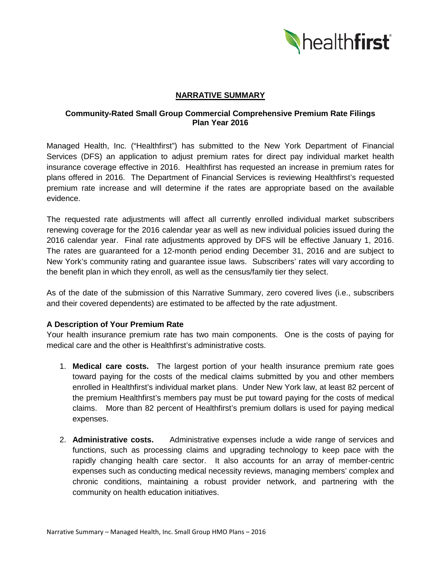

# **NARRATIVE SUMMARY**

# **Community-Rated Small Group Commercial Comprehensive Premium Rate Filings Plan Year 2016**

Managed Health, Inc. ("Healthfirst") has submitted to the New York Department of Financial Services (DFS) an application to adjust premium rates for direct pay individual market health insurance coverage effective in 2016. Healthfirst has requested an increase in premium rates for plans offered in 2016. The Department of Financial Services is reviewing Healthfirst's requested premium rate increase and will determine if the rates are appropriate based on the available evidence.

The requested rate adjustments will affect all currently enrolled individual market subscribers renewing coverage for the 2016 calendar year as well as new individual policies issued during the 2016 calendar year. Final rate adjustments approved by DFS will be effective January 1, 2016. The rates are guaranteed for a 12-month period ending December 31, 2016 and are subject to New York's community rating and guarantee issue laws. Subscribers' rates will vary according to the benefit plan in which they enroll, as well as the census/family tier they select.

As of the date of the submission of this Narrative Summary, zero covered lives (i.e., subscribers and their covered dependents) are estimated to be affected by the rate adjustment.

# **A Description of Your Premium Rate**

Your health insurance premium rate has two main components. One is the costs of paying for medical care and the other is Healthfirst's administrative costs.

- 1. **Medical care costs.** The largest portion of your health insurance premium rate goes toward paying for the costs of the medical claims submitted by you and other members enrolled in Healthfirst's individual market plans. Under New York law, at least 82 percent of the premium Healthfirst's members pay must be put toward paying for the costs of medical claims. More than 82 percent of Healthfirst's premium dollars is used for paying medical expenses.
- 2. **Administrative costs.** Administrative expenses include a wide range of services and functions, such as processing claims and upgrading technology to keep pace with the rapidly changing health care sector. It also accounts for an array of member-centric expenses such as conducting medical necessity reviews, managing members' complex and chronic conditions, maintaining a robust provider network, and partnering with the community on health education initiatives.